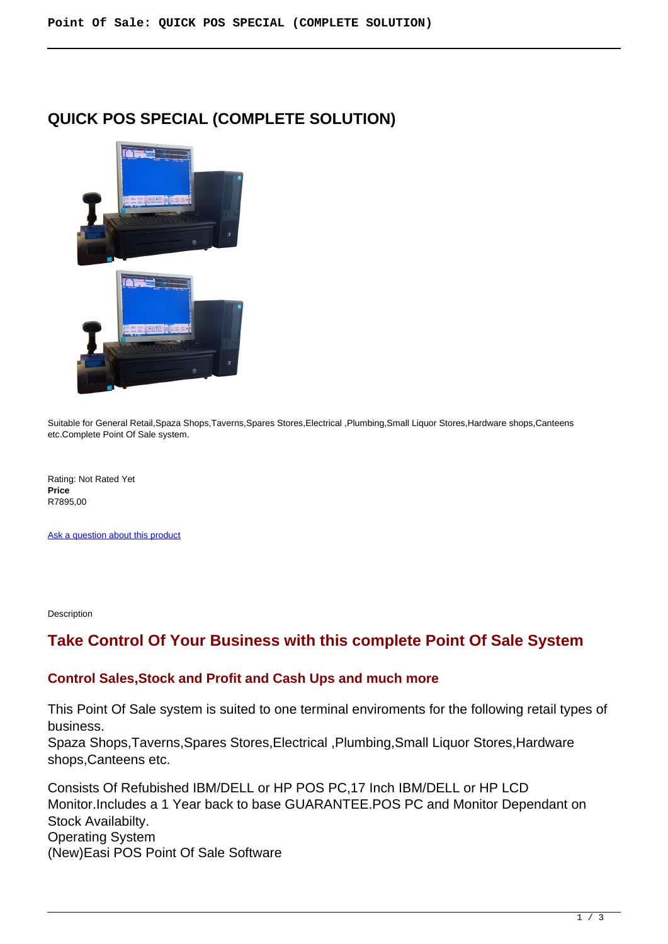# **QUICK POS SPECIAL (COMPLETE SOLUTION)**



Suitable for General Retail,Spaza Shops,Taverns,Spares Stores,Electrical ,Plumbing,Small Liquor Stores,Hardware shops,Canteens etc.Complete Point Of Sale system.

Rating: Not Rated Yet **Price**  R7895,00

[Ask a question about this product](https://retailjhb.co.za/index.php?option=com_virtuemart&view=productdetails&task=askquestion&virtuemart_product_id=50&virtuemart_category_id=13&tmpl=component)

Description

## **Take Control Of Your Business with this complete Point Of Sale System**

#### **Control Sales,Stock and Profit and Cash Ups and much more**

This Point Of Sale system is suited to one terminal enviroments for the following retail types of business.

Spaza Shops,Taverns,Spares Stores,Electrical ,Plumbing,Small Liquor Stores,Hardware shops,Canteens etc.

Consists Of Refubished IBM/DELL or HP POS PC,17 Inch IBM/DELL or HP LCD Monitor.Includes a 1 Year back to base GUARANTEE.POS PC and Monitor Dependant on Stock Availabilty. Operating System (New)Easi POS Point Of Sale Software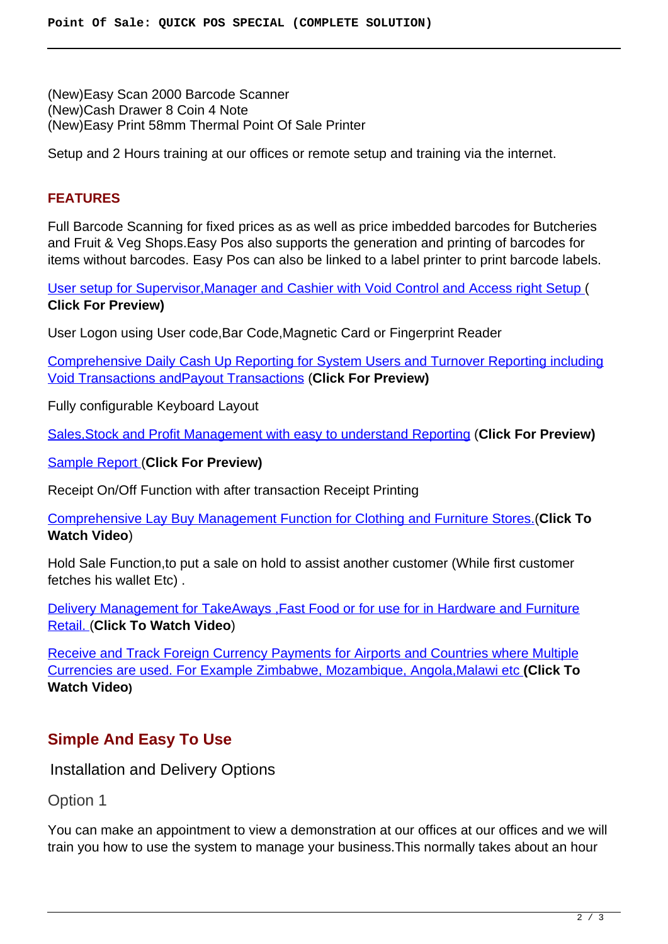(New)Easy Scan 2000 Barcode Scanner (New)Cash Drawer 8 Coin 4 Note (New)Easy Print 58mm Thermal Point Of Sale Printer

Setup and 2 Hours training at our offices or remote setup and training via the internet.

### **FEATURES**

Full Barcode Scanning for fixed prices as as well as price imbedded barcodes for Butcheries and Fruit & Veg Shops.Easy Pos also supports the generation and printing of barcodes for items without barcodes. Easy Pos can also be linked to a label printer to print barcode labels.

[User setup for Supervisor,Manager and Cashier with Void Control and Access right Setup](images/retail/User_And_Security.jpg) ( **Click For Preview)**

User Logon using User code,Bar Code,Magnetic Card or Fingerprint Reader

[Comprehensive Daily Cash Up Reporting for System Users and Turnover Reporting including](images/retail/CashUpReport.jpg) [Void Transactions andPayout Transactions](images/retail/CashUpReport.jpg) (**Click For Preview)**

Fully configurable Keyboard Layout

[Sales,Stock and Profit Management with easy to understand Reporting](images/retail/Item_Sales_Report.jpg) (**Click For Preview)**

[Sample Report \(](images/retail/Item_Sales_Report.jpg)**Click For Preview)**

Receipt On/Off Function with after transaction Receipt Printing

[Comprehensive Lay Buy Management Function for Clothing and Furniture Stores.\(](index.php?option=com_content&view=article&id=22)**Click To Watch Video**)

Hold Sale Function,to put a sale on hold to assist another customer (While first customer fetches his wallet Etc) .

[Delivery Management for TakeAways ,Fast Food or for use for in Hardware and Furniture](index.php?option=com_content&view=article&id=21) [Retail. \(](index.php?option=com_content&view=article&id=21)**Click To Watch Video**)

[Receive and Track Foreign Currency Payments for Airports and Countries where Multiple](index.php?option=com_content&view=article&id=23) [Currencies are used. For Example Zimbabwe, Mozambique, Angola,Malawi etc](index.php?option=com_content&view=article&id=23) **(Click To Watch Video)**

## **Simple And Easy To Use**

Installation and Delivery Options

Option 1

You can make an appointment to view a demonstration at our offices at our offices and we will train you how to use the system to manage your business.This normally takes about an hour